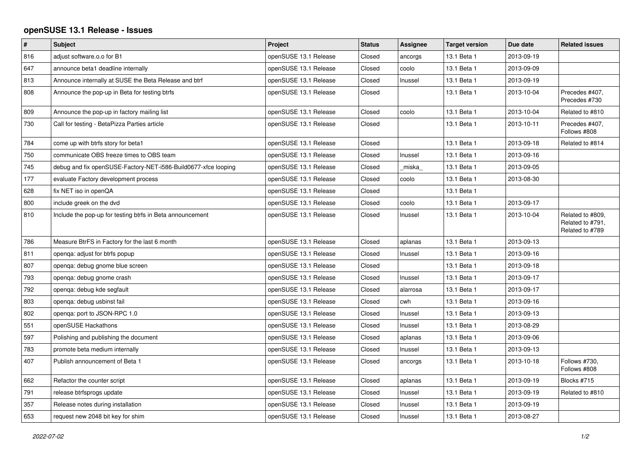## **openSUSE 13.1 Release - Issues**

| $\vert$ # | <b>Subject</b>                                                 | Project               | <b>Status</b> | Assignee | <b>Target version</b> | Due date   | <b>Related issues</b>                                   |
|-----------|----------------------------------------------------------------|-----------------------|---------------|----------|-----------------------|------------|---------------------------------------------------------|
| 816       | adjust software.o.o for B1                                     | openSUSE 13.1 Release | Closed        | ancorgs  | 13.1 Beta 1           | 2013-09-19 |                                                         |
| 647       | announce beta1 deadline internally                             | openSUSE 13.1 Release | Closed        | coolo    | 13.1 Beta 1           | 2013-09-09 |                                                         |
| 813       | Announce internally at SUSE the Beta Release and btrf          | openSUSE 13.1 Release | Closed        | Inussel  | 13.1 Beta 1           | 2013-09-19 |                                                         |
| 808       | Announce the pop-up in Beta for testing btrfs                  | openSUSE 13.1 Release | Closed        |          | 13.1 Beta 1           | 2013-10-04 | Precedes #407,<br>Precedes #730                         |
| 809       | Announce the pop-up in factory mailing list                    | openSUSE 13.1 Release | Closed        | coolo    | 13.1 Beta 1           | 2013-10-04 | Related to #810                                         |
| 730       | Call for testing - BetaPizza Parties article                   | openSUSE 13.1 Release | Closed        |          | 13.1 Beta 1           | 2013-10-11 | Precedes #407,<br>Follows #808                          |
| 784       | come up with btrfs story for beta1                             | openSUSE 13.1 Release | Closed        |          | 13.1 Beta 1           | 2013-09-18 | Related to #814                                         |
| 750       | communicate OBS freeze times to OBS team                       | openSUSE 13.1 Release | Closed        | Inussel  | 13.1 Beta 1           | 2013-09-16 |                                                         |
| 745       | debug and fix openSUSE-Factory-NET-i586-Build0677-xfce looping | openSUSE 13.1 Release | Closed        | _miska_  | 13.1 Beta 1           | 2013-09-05 |                                                         |
| 177       | evaluate Factory development process                           | openSUSE 13.1 Release | Closed        | coolo    | 13.1 Beta 1           | 2013-08-30 |                                                         |
| 628       | fix NET iso in openQA                                          | openSUSE 13.1 Release | Closed        |          | 13.1 Beta 1           |            |                                                         |
| 800       | include greek on the dvd                                       | openSUSE 13.1 Release | Closed        | coolo    | 13.1 Beta 1           | 2013-09-17 |                                                         |
| 810       | Include the pop-up for testing btrfs in Beta announcement      | openSUSE 13.1 Release | Closed        | Inussel  | 13.1 Beta 1           | 2013-10-04 | Related to #809,<br>Related to #791,<br>Related to #789 |
| 786       | Measure BtrFS in Factory for the last 6 month                  | openSUSE 13.1 Release | Closed        | aplanas  | 13.1 Beta 1           | 2013-09-13 |                                                         |
| 811       | openga: adjust for btrfs popup                                 | openSUSE 13.1 Release | Closed        | Inussel  | 13.1 Beta 1           | 2013-09-16 |                                                         |
| 807       | openga: debug gnome blue screen                                | openSUSE 13.1 Release | Closed        |          | 13.1 Beta 1           | 2013-09-18 |                                                         |
| 793       | openqa: debug gnome crash                                      | openSUSE 13.1 Release | Closed        | Inussel  | 13.1 Beta 1           | 2013-09-17 |                                                         |
| 792       | openga: debug kde segfault                                     | openSUSE 13.1 Release | Closed        | alarrosa | 13.1 Beta 1           | 2013-09-17 |                                                         |
| 803       | openga: debug usbinst fail                                     | openSUSE 13.1 Release | Closed        | cwh      | 13.1 Beta 1           | 2013-09-16 |                                                         |
| 802       | openga: port to JSON-RPC 1.0                                   | openSUSE 13.1 Release | Closed        | Inussel  | 13.1 Beta 1           | 2013-09-13 |                                                         |
| 551       | openSUSE Hackathons                                            | openSUSE 13.1 Release | Closed        | Inussel  | 13.1 Beta 1           | 2013-08-29 |                                                         |
| 597       | Polishing and publishing the document                          | openSUSE 13.1 Release | Closed        | aplanas  | 13.1 Beta 1           | 2013-09-06 |                                                         |
| 783       | promote beta medium internally                                 | openSUSE 13.1 Release | Closed        | Inussel  | 13.1 Beta 1           | 2013-09-13 |                                                         |
| 407       | Publish announcement of Beta 1                                 | openSUSE 13.1 Release | Closed        | ancorgs  | 13.1 Beta 1           | 2013-10-18 | Follows #730,<br>Follows #808                           |
| 662       | Refactor the counter script                                    | openSUSE 13.1 Release | Closed        | aplanas  | 13.1 Beta 1           | 2013-09-19 | Blocks #715                                             |
| 791       | release btrfsprogs update                                      | openSUSE 13.1 Release | Closed        | Inussel  | 13.1 Beta 1           | 2013-09-19 | Related to #810                                         |
| 357       | Release notes during installation                              | openSUSE 13.1 Release | Closed        | Inussel  | 13.1 Beta 1           | 2013-09-19 |                                                         |
| 653       | request new 2048 bit key for shim                              | openSUSE 13.1 Release | Closed        | Inussel  | 13.1 Beta 1           | 2013-08-27 |                                                         |